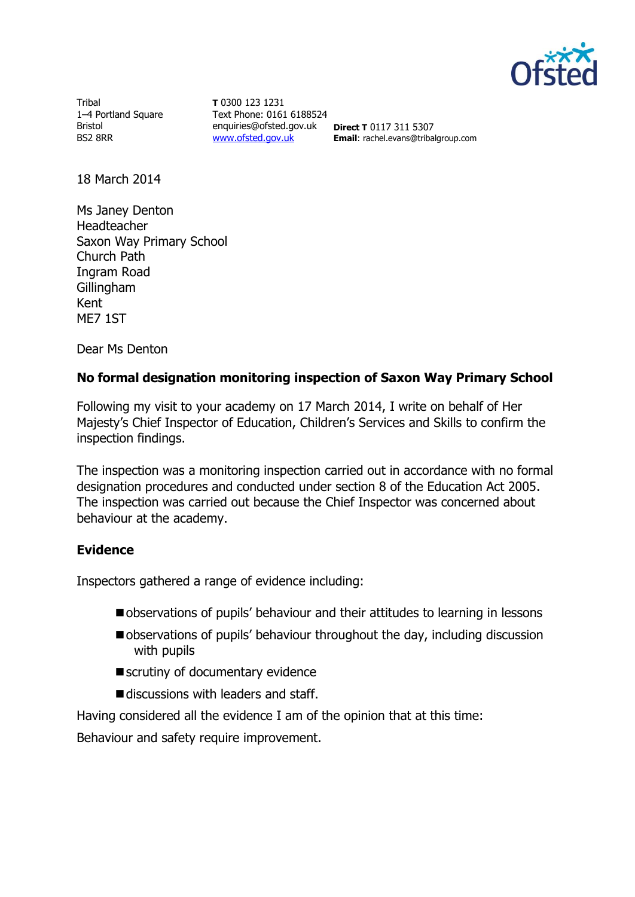

Tribal 1–4 Portland Square Bristol BS2 8RR

**T** 0300 123 1231 Text Phone: 0161 6188524 enquiries@ofsted.gov.uk **Direct T** 0117 311 5307 [www.ofsted.gov.uk](http://www.ofsted.gov.uk/)

**Email**: rachel.evans@tribalgroup.com

18 March 2014

Ms Janey Denton Headteacher Saxon Way Primary School Church Path Ingram Road Gillingham Kent ME7 1ST

Dear Ms Denton

# **No formal designation monitoring inspection of Saxon Way Primary School**

Following my visit to your academy on 17 March 2014, I write on behalf of Her Majesty's Chief Inspector of Education, Children's Services and Skills to confirm the inspection findings.

The inspection was a monitoring inspection carried out in accordance with no formal designation procedures and conducted under section 8 of the Education Act 2005. The inspection was carried out because the Chief Inspector was concerned about behaviour at the academy.

## **Evidence**

Inspectors gathered a range of evidence including:

- observations of pupils' behaviour and their attitudes to learning in lessons
- observations of pupils' behaviour throughout the day, including discussion with pupils
- scrutiny of documentary evidence
- discussions with leaders and staff.

Having considered all the evidence I am of the opinion that at this time:

Behaviour and safety require improvement.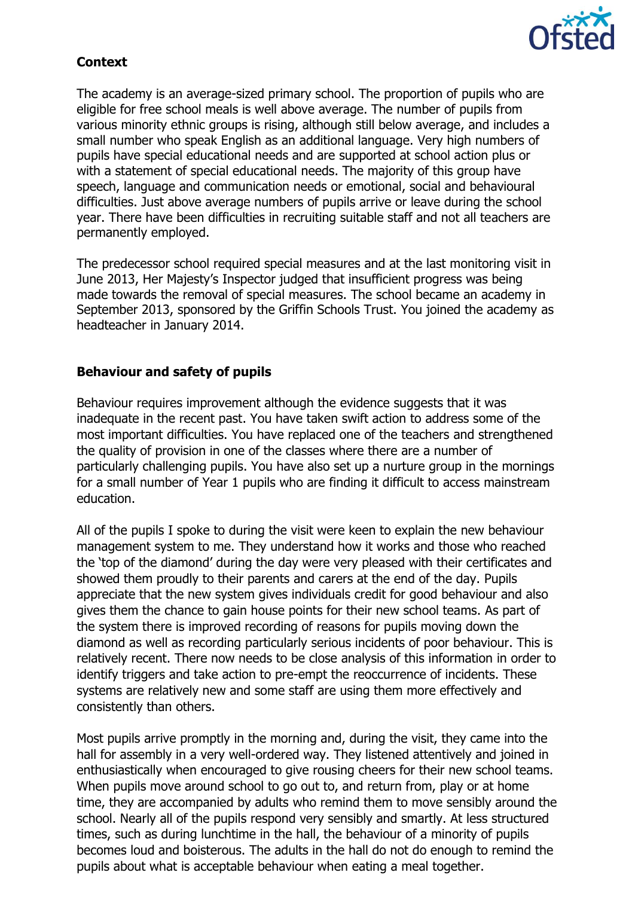

# **Context**

The academy is an average-sized primary school. The proportion of pupils who are eligible for free school meals is well above average. The number of pupils from various minority ethnic groups is rising, although still below average, and includes a small number who speak English as an additional language. Very high numbers of pupils have special educational needs and are supported at school action plus or with a statement of special educational needs. The majority of this group have speech, language and communication needs or emotional, social and behavioural difficulties. Just above average numbers of pupils arrive or leave during the school year. There have been difficulties in recruiting suitable staff and not all teachers are permanently employed.

The predecessor school required special measures and at the last monitoring visit in June 2013, Her Majesty's Inspector judged that insufficient progress was being made towards the removal of special measures. The school became an academy in September 2013, sponsored by the Griffin Schools Trust. You joined the academy as headteacher in January 2014.

# **Behaviour and safety of pupils**

Behaviour requires improvement although the evidence suggests that it was inadequate in the recent past. You have taken swift action to address some of the most important difficulties. You have replaced one of the teachers and strengthened the quality of provision in one of the classes where there are a number of particularly challenging pupils. You have also set up a nurture group in the mornings for a small number of Year 1 pupils who are finding it difficult to access mainstream education.

All of the pupils I spoke to during the visit were keen to explain the new behaviour management system to me. They understand how it works and those who reached the 'top of the diamond' during the day were very pleased with their certificates and showed them proudly to their parents and carers at the end of the day. Pupils appreciate that the new system gives individuals credit for good behaviour and also gives them the chance to gain house points for their new school teams. As part of the system there is improved recording of reasons for pupils moving down the diamond as well as recording particularly serious incidents of poor behaviour. This is relatively recent. There now needs to be close analysis of this information in order to identify triggers and take action to pre-empt the reoccurrence of incidents. These systems are relatively new and some staff are using them more effectively and consistently than others.

Most pupils arrive promptly in the morning and, during the visit, they came into the hall for assembly in a very well-ordered way. They listened attentively and joined in enthusiastically when encouraged to give rousing cheers for their new school teams. When pupils move around school to go out to, and return from, play or at home time, they are accompanied by adults who remind them to move sensibly around the school. Nearly all of the pupils respond very sensibly and smartly. At less structured times, such as during lunchtime in the hall, the behaviour of a minority of pupils becomes loud and boisterous. The adults in the hall do not do enough to remind the pupils about what is acceptable behaviour when eating a meal together.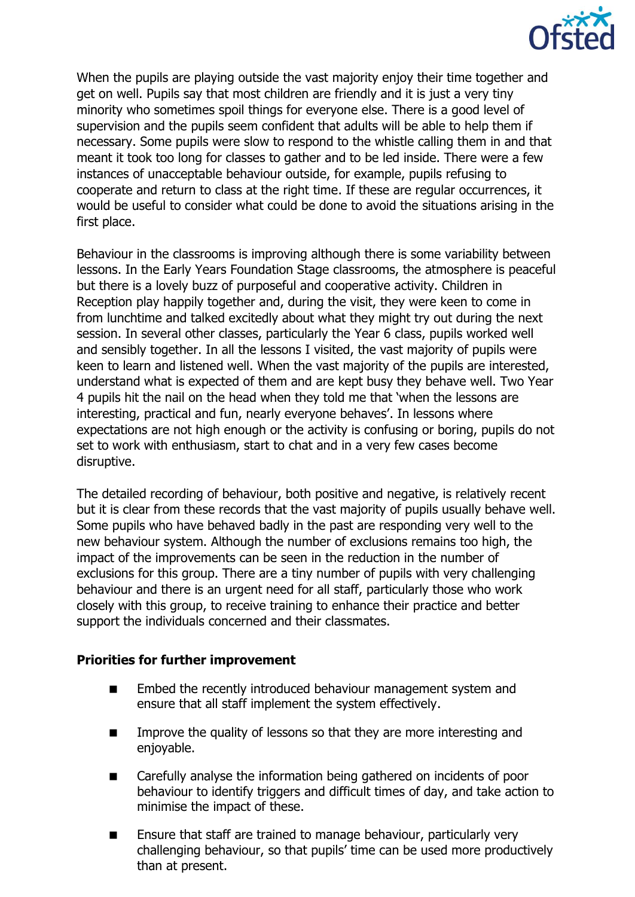

When the pupils are playing outside the vast majority enjoy their time together and get on well. Pupils say that most children are friendly and it is just a very tiny minority who sometimes spoil things for everyone else. There is a good level of supervision and the pupils seem confident that adults will be able to help them if necessary. Some pupils were slow to respond to the whistle calling them in and that meant it took too long for classes to gather and to be led inside. There were a few instances of unacceptable behaviour outside, for example, pupils refusing to cooperate and return to class at the right time. If these are regular occurrences, it would be useful to consider what could be done to avoid the situations arising in the first place.

Behaviour in the classrooms is improving although there is some variability between lessons. In the Early Years Foundation Stage classrooms, the atmosphere is peaceful but there is a lovely buzz of purposeful and cooperative activity. Children in Reception play happily together and, during the visit, they were keen to come in from lunchtime and talked excitedly about what they might try out during the next session. In several other classes, particularly the Year 6 class, pupils worked well and sensibly together. In all the lessons I visited, the vast majority of pupils were keen to learn and listened well. When the vast majority of the pupils are interested, understand what is expected of them and are kept busy they behave well. Two Year 4 pupils hit the nail on the head when they told me that 'when the lessons are interesting, practical and fun, nearly everyone behaves'. In lessons where expectations are not high enough or the activity is confusing or boring, pupils do not set to work with enthusiasm, start to chat and in a very few cases become disruptive.

The detailed recording of behaviour, both positive and negative, is relatively recent but it is clear from these records that the vast majority of pupils usually behave well. Some pupils who have behaved badly in the past are responding very well to the new behaviour system. Although the number of exclusions remains too high, the impact of the improvements can be seen in the reduction in the number of exclusions for this group. There are a tiny number of pupils with very challenging behaviour and there is an urgent need for all staff, particularly those who work closely with this group, to receive training to enhance their practice and better support the individuals concerned and their classmates.

## **Priorities for further improvement**

- **Embed the recently introduced behaviour management system and** ensure that all staff implement the system effectively.
- **IMPROVE THE GUALITY OF LESSONS SO that they are more interesting and** enjoyable.
- Carefully analyse the information being gathered on incidents of poor behaviour to identify triggers and difficult times of day, and take action to minimise the impact of these.
- **E** Ensure that staff are trained to manage behaviour, particularly very challenging behaviour, so that pupils' time can be used more productively than at present.